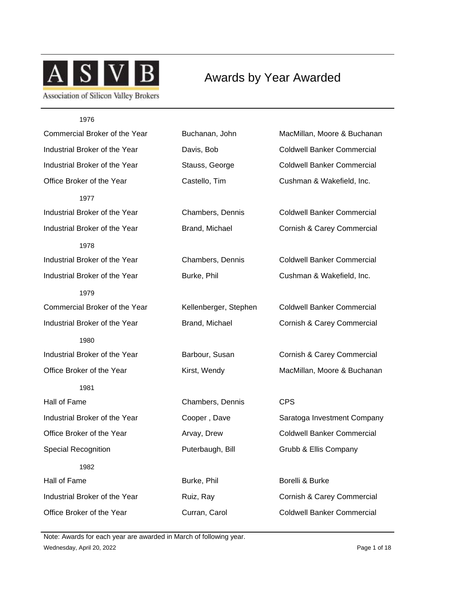

Awards by Year Awarded

| 1976                          |                       |                                       |
|-------------------------------|-----------------------|---------------------------------------|
| Commercial Broker of the Year | Buchanan, John        | MacMillan, Moore & Buchanan           |
| Industrial Broker of the Year | Davis, Bob            | <b>Coldwell Banker Commercial</b>     |
| Industrial Broker of the Year | Stauss, George        | <b>Coldwell Banker Commercial</b>     |
| Office Broker of the Year     | Castello, Tim         | Cushman & Wakefield, Inc.             |
| 1977                          |                       |                                       |
| Industrial Broker of the Year | Chambers, Dennis      | <b>Coldwell Banker Commercial</b>     |
| Industrial Broker of the Year | Brand, Michael        | <b>Cornish &amp; Carey Commercial</b> |
| 1978                          |                       |                                       |
| Industrial Broker of the Year | Chambers, Dennis      | <b>Coldwell Banker Commercial</b>     |
| Industrial Broker of the Year | Burke, Phil           | Cushman & Wakefield, Inc.             |
| 1979                          |                       |                                       |
| Commercial Broker of the Year | Kellenberger, Stephen | <b>Coldwell Banker Commercial</b>     |
| Industrial Broker of the Year | Brand, Michael        | Cornish & Carey Commercial            |
| 1980                          |                       |                                       |
| Industrial Broker of the Year | Barbour, Susan        | Cornish & Carey Commercial            |
| Office Broker of the Year     | Kirst, Wendy          | MacMillan, Moore & Buchanan           |
| 1981                          |                       |                                       |
| Hall of Fame                  | Chambers, Dennis      | <b>CPS</b>                            |
| Industrial Broker of the Year | Cooper, Dave          | Saratoga Investment Company           |
| Office Broker of the Year     | Arvay, Drew           | <b>Coldwell Banker Commercial</b>     |
| <b>Special Recognition</b>    | Puterbaugh, Bill      | Grubb & Ellis Company                 |
| 1982                          |                       |                                       |
| Hall of Fame                  | Burke, Phil           | Borelli & Burke                       |
| Industrial Broker of the Year | Ruiz, Ray             | Cornish & Carey Commercial            |
| Office Broker of the Year     | Curran, Carol         | <b>Coldwell Banker Commercial</b>     |

Wednesday, April 20, 2022 2008 Page 1 of 18 Note: Awards for each year are awarded in March of following year.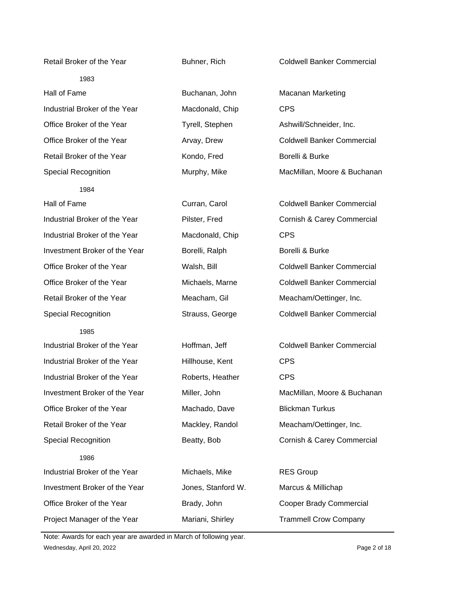Retail Broker of the Year **Buhner, Rich Coldwell Banker Commercial** Coldwell Banker Commercial 1983 Hall of Fame Buchanan, John Macanan Marketing Industrial Broker of the Year Macdonald, Chip CPS Office Broker of the Year Tyrell, Stephen Ashwill/Schneider, Inc. Office Broker of the Year **Arvay, Drew Coldwell Banker Commercial** Retail Broker of the Year **Kondo, Fred** Borelli & Burke Special Recognition **Murphy, Mike** MacMillan, Moore & Buchanan 1984 Hall of Fame Curran, Carol Coldwell Banker Commercial Industrial Broker of the Year Pilster, Fred Cornish & Carey Commercial Industrial Broker of the Year Macdonald, Chip CPS Investment Broker of the Year Borelli, Ralph Borelli & Burke Office Broker of the Year Walsh, Bill Coldwell Banker Commercial Office Broker of the Year Michaels, Marne Coldwell Banker Commercial Retail Broker of the Year Meacham, Gil Meacham/Oettinger, Inc. Special Recognition Strauss, George Coldwell Banker Commercial 1985 Industrial Broker of the Year Hoffman, Jeff Coldwell Banker Commercial Industrial Broker of the Year Hillhouse, Kent CPS Industrial Broker of the Year Roberts, Heather CPS Investment Broker of the Year Miller, John MacMillan, Moore & Buchanan Office Broker of the Year **Machado, Dave** Blickman Turkus Retail Broker of the Year Mackley, Randol Meacham/Oettinger, Inc. Special Recognition Beatty, Bob Cornish & Carey Commercial 1986 Industrial Broker of the Year Michaels, Mike RES Group Investment Broker of the Year Jones, Stanford W. Marcus & Millichap Office Broker of the Year **Brady, John** Cooper Brady Commercial

Project Manager of the Year Mariani, Shirley Trammell Crow Company

Wednesday, April 20, 2022 **Page 2 of 18** Note: Awards for each year are awarded in March of following year.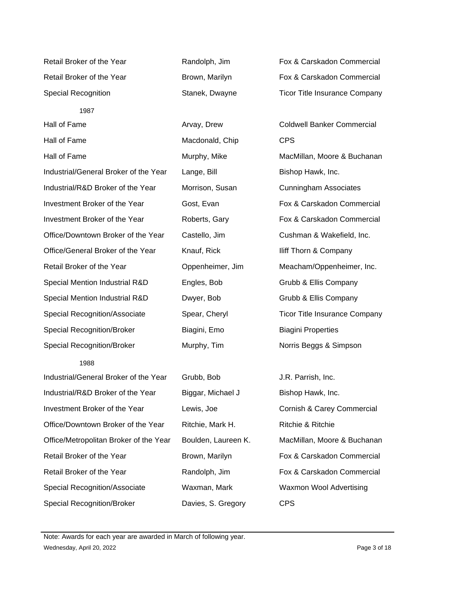Industrial/General Broker of the Year Lange, Bill Bishop Hawk, Inc. Industrial/R&D Broker of the Year Morrison, Susan Cunningham Associates Investment Broker of the Year Gost, Evan Fox & Carskadon Commercial Investment Broker of the Year Roberts, Gary Fox & Carskadon Commercial Office/Downtown Broker of the Year Castello, Jim Cushman & Wakefield, Inc. Office/General Broker of the Year Knauf, Rick Iliff Thorn & Company Retail Broker of the Year Oppenheimer, Jim Meacham/Oppenheimer, Inc. Special Mention Industrial R&D Engles, Bob Grubb & Ellis Company Special Mention Industrial R&D Dwyer, Bob Grubb & Ellis Company

Special Recognition/Broker Biagini, Emo Biagini Properties Special Recognition/Broker Murphy, Tim Norris Beggs & Simpson

## 1988

Industrial/General Broker of the Year Grubb, Bob J.R. Parrish, Inc. Industrial/R&D Broker of the Year Biggar, Michael J Bishop Hawk, Inc. Investment Broker of the Year Lewis, Joe Cornish & Carey Commercial Office/Downtown Broker of the Year Ritchie, Mark H. Ritchie & Ritchie Office/Metropolitan Broker of the Year Boulden, Laureen K. MacMillan, Moore & Buchanan Retail Broker of the Year **Brown, Marilyn** Fox & Carskadon Commercial Retail Broker of the Year **Randolph, Jim** Fox & Carskadon Commercial Special Recognition/Associate Waxman, Mark Waxmon Wool Advertising Special Recognition/Broker Davies, S. Gregory CPS

Hall of Fame **Macdonald**, Chip CPS

Retail Broker of the Year **Randolph, Jim Fox & Carskadon Commercial** Retail Broker of the Year **Brown, Marilyn Fox & Carskadon Commercial** Fox & Carskadon Commercial Special Recognition **Stanek, Dwayne** Ticor Title Insurance Company

Hall of Fame **Array, Drew Coldwell Banker Commercial** Hall of Fame **Murphy, Mike** MacMillan, Moore & Buchanan Special Recognition/Associate Spear, Cheryl Ticor Title Insurance Company

Wednesday, April 20, 2022 **Page 3 of 18** Note: Awards for each year are awarded in March of following year.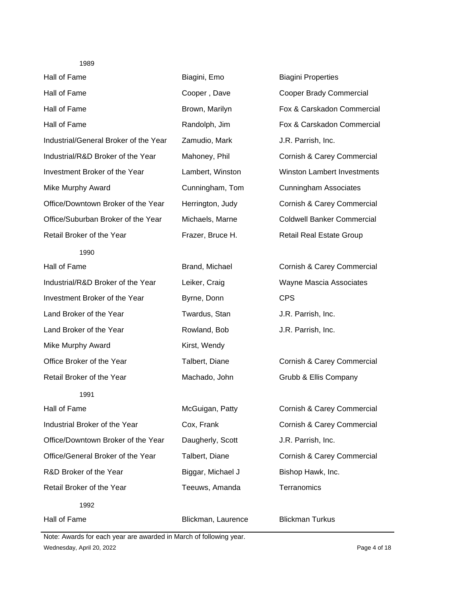| Hall of Fame                          | Biagini, Emo       | <b>Biagini Properties</b>          |
|---------------------------------------|--------------------|------------------------------------|
| Hall of Fame                          | Cooper, Dave       | <b>Cooper Brady Commercial</b>     |
| Hall of Fame                          | Brown, Marilyn     | Fox & Carskadon Commercial         |
| Hall of Fame                          | Randolph, Jim      | Fox & Carskadon Commercial         |
| Industrial/General Broker of the Year | Zamudio, Mark      | J.R. Parrish, Inc.                 |
| Industrial/R&D Broker of the Year     | Mahoney, Phil      | Cornish & Carey Commercial         |
| Investment Broker of the Year         | Lambert, Winston   | <b>Winston Lambert Investments</b> |
| <b>Mike Murphy Award</b>              | Cunningham, Tom    | <b>Cunningham Associates</b>       |
| Office/Downtown Broker of the Year    | Herrington, Judy   | Cornish & Carey Commercial         |
| Office/Suburban Broker of the Year    | Michaels, Marne    | <b>Coldwell Banker Commercial</b>  |
| Retail Broker of the Year             | Frazer, Bruce H.   | Retail Real Estate Group           |
| 1990                                  |                    |                                    |
| Hall of Fame                          | Brand, Michael     | Cornish & Carey Commercial         |
| Industrial/R&D Broker of the Year     | Leiker, Craig      | Wayne Mascia Associates            |
| Investment Broker of the Year         | Byrne, Donn        | <b>CPS</b>                         |
| Land Broker of the Year               | Twardus, Stan      | J.R. Parrish, Inc.                 |
| Land Broker of the Year               | Rowland, Bob       | J.R. Parrish, Inc.                 |
| <b>Mike Murphy Award</b>              | Kirst, Wendy       |                                    |
| Office Broker of the Year             | Talbert, Diane     | Cornish & Carey Commercial         |
| Retail Broker of the Year             | Machado, John      | Grubb & Ellis Company              |
| 1991                                  |                    |                                    |
| Hall of Fame                          | McGuigan, Patty    | Cornish & Carey Commercial         |
| Industrial Broker of the Year         | Cox, Frank         | Cornish & Carey Commercial         |
| Office/Downtown Broker of the Year    | Daugherly, Scott   | J.R. Parrish, Inc.                 |
| Office/General Broker of the Year     | Talbert, Diane     | Cornish & Carey Commercial         |
| R&D Broker of the Year                | Biggar, Michael J  | Bishop Hawk, Inc.                  |
| Retail Broker of the Year             | Teeuws, Amanda     | Terranomics                        |
| 1992                                  |                    |                                    |
| Hall of Fame                          | Blickman, Laurence | <b>Blickman Turkus</b>             |

Wednesday, April 20, 2022 Page 4 of 18 Note: Awards for each year are awarded in March of following year.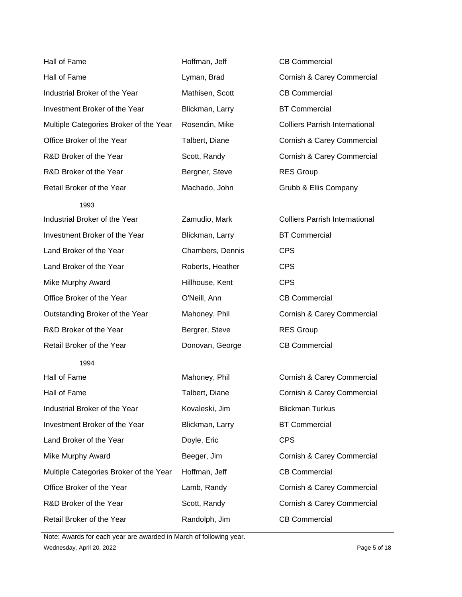| Hall of Fame                           | Hoffman, Jeff    | <b>CB Commercial</b>                  |
|----------------------------------------|------------------|---------------------------------------|
| Hall of Fame                           | Lyman, Brad      | Cornish & Carey Commercial            |
| Industrial Broker of the Year          | Mathisen, Scott  | <b>CB Commercial</b>                  |
| Investment Broker of the Year          | Blickman, Larry  | <b>BT Commercial</b>                  |
| Multiple Categories Broker of the Year | Rosendin, Mike   | <b>Colliers Parrish International</b> |
| Office Broker of the Year              | Talbert, Diane   | Cornish & Carey Commercial            |
| R&D Broker of the Year                 | Scott, Randy     | Cornish & Carey Commercial            |
| R&D Broker of the Year                 | Bergner, Steve   | <b>RES Group</b>                      |
| Retail Broker of the Year              | Machado, John    | Grubb & Ellis Company                 |
| 1993                                   |                  |                                       |
| Industrial Broker of the Year          | Zamudio, Mark    | <b>Colliers Parrish International</b> |
| Investment Broker of the Year          | Blickman, Larry  | <b>BT Commercial</b>                  |
| Land Broker of the Year                | Chambers, Dennis | <b>CPS</b>                            |
| Land Broker of the Year                | Roberts, Heather | <b>CPS</b>                            |
| <b>Mike Murphy Award</b>               | Hillhouse, Kent  | <b>CPS</b>                            |
| Office Broker of the Year              | O'Neill, Ann     | <b>CB Commercial</b>                  |
| Outstanding Broker of the Year         | Mahoney, Phil    | Cornish & Carey Commercial            |
| R&D Broker of the Year                 | Bergrer, Steve   | <b>RES Group</b>                      |
| Retail Broker of the Year              | Donovan, George  |                                       |
|                                        |                  | <b>CB Commercial</b>                  |
| 1994                                   |                  |                                       |
| Hall of Fame                           | Mahoney, Phil    | Cornish & Carey Commercial            |
| Hall of Fame                           | Talbert, Diane   | Cornish & Carey Commercial            |
| Industrial Broker of the Year          | Kovaleski, Jim   | <b>Blickman Turkus</b>                |
| Investment Broker of the Year          | Blickman, Larry  | <b>BT Commercial</b>                  |
| Land Broker of the Year                | Doyle, Eric      | <b>CPS</b>                            |
| <b>Mike Murphy Award</b>               | Beeger, Jim      | Cornish & Carey Commercial            |
| Multiple Categories Broker of the Year | Hoffman, Jeff    | <b>CB Commercial</b>                  |
| Office Broker of the Year              | Lamb, Randy      | Cornish & Carey Commercial            |
| R&D Broker of the Year                 | Scott, Randy     | Cornish & Carey Commercial            |

Wednesday, April 20, 2022 **Page 5 of 18** Note: Awards for each year are awarded in March of following year.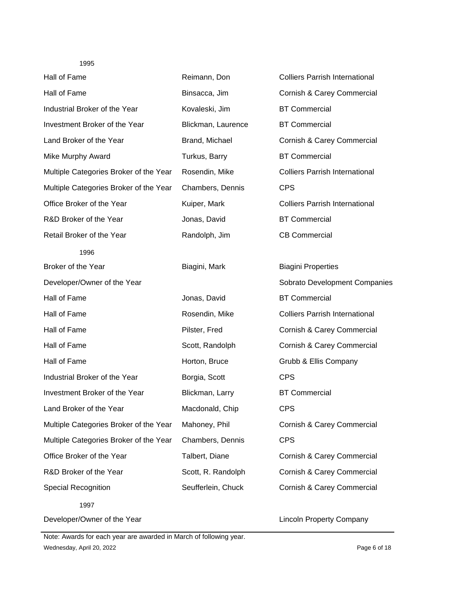| Hall of Fame                           | Reimann, Don       | <b>Colliers Parrish International</b> |
|----------------------------------------|--------------------|---------------------------------------|
| Hall of Fame                           | Binsacca, Jim      | Cornish & Carey Commercial            |
| Industrial Broker of the Year          | Kovaleski, Jim     | <b>BT Commercial</b>                  |
| Investment Broker of the Year          | Blickman, Laurence | <b>BT Commercial</b>                  |
| Land Broker of the Year                | Brand, Michael     | Cornish & Carey Commercial            |
| <b>Mike Murphy Award</b>               | Turkus, Barry      | <b>BT Commercial</b>                  |
| Multiple Categories Broker of the Year | Rosendin, Mike     | <b>Colliers Parrish International</b> |
| Multiple Categories Broker of the Year | Chambers, Dennis   | <b>CPS</b>                            |
| Office Broker of the Year              | Kuiper, Mark       | <b>Colliers Parrish International</b> |
| R&D Broker of the Year                 | Jonas, David       | <b>BT Commercial</b>                  |
| Retail Broker of the Year              | Randolph, Jim      | <b>CB Commercial</b>                  |
| 1996                                   |                    |                                       |
| Broker of the Year                     | Biagini, Mark      | <b>Biagini Properties</b>             |
| Developer/Owner of the Year            |                    | Sobrato Development Companies         |
| Hall of Fame                           | Jonas, David       | <b>BT Commercial</b>                  |
| Hall of Fame                           | Rosendin, Mike     | <b>Colliers Parrish International</b> |
| Hall of Fame                           | Pilster, Fred      | Cornish & Carey Commercial            |
| Hall of Fame                           | Scott, Randolph    | Cornish & Carey Commercial            |
| Hall of Fame                           | Horton, Bruce      | Grubb & Ellis Company                 |
| Industrial Broker of the Year          | Borgia, Scott      | <b>CPS</b>                            |
| Investment Broker of the Year          | Blickman, Larry    | <b>BT Commercial</b>                  |
| Land Broker of the Year                | Macdonald, Chip    | <b>CPS</b>                            |
| Multiple Categories Broker of the Year | Mahoney, Phil      | Cornish & Carey Commercial            |
| Multiple Categories Broker of the Year | Chambers, Dennis   | <b>CPS</b>                            |
| Office Broker of the Year              | Talbert, Diane     | Cornish & Carey Commercial            |
| R&D Broker of the Year                 | Scott, R. Randolph | Cornish & Carey Commercial            |
| <b>Special Recognition</b>             | Seufferlein, Chuck | Cornish & Carey Commercial            |
| 1997                                   |                    |                                       |
| Developer/Owner of the Year            |                    | <b>Lincoln Property Company</b>       |

Wednesday, April 20, 2022 2008 Page 6 of 18 Note: Awards for each year are awarded in March of following year.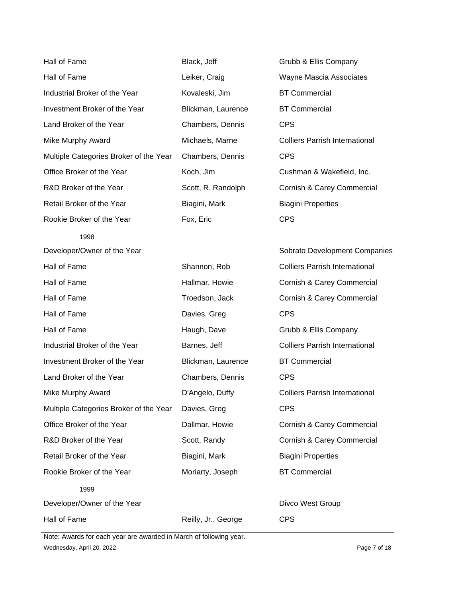| Hall of Fame                           | Black, Jeff        | Grubb & Ellis Company                 |
|----------------------------------------|--------------------|---------------------------------------|
| Hall of Fame                           | Leiker, Craig      | Wayne Mascia Associates               |
| Industrial Broker of the Year          | Kovaleski, Jim     | <b>BT Commercial</b>                  |
| Investment Broker of the Year          | Blickman, Laurence | <b>BT Commercial</b>                  |
| Land Broker of the Year                | Chambers, Dennis   | <b>CPS</b>                            |
| Mike Murphy Award                      | Michaels, Marne    | <b>Colliers Parrish International</b> |
| Multiple Categories Broker of the Year | Chambers, Dennis   | <b>CPS</b>                            |
| Office Broker of the Year              | Koch, Jim          | Cushman & Wakefield, Inc.             |
| R&D Broker of the Year                 | Scott, R. Randolph | Cornish & Carey Commercial            |
| Retail Broker of the Year              | Biagini, Mark      | <b>Biagini Properties</b>             |
| Rookie Broker of the Year              | Fox, Eric          | <b>CPS</b>                            |
| 1998                                   |                    |                                       |
| Developer/Owner of the Year            |                    | Sobrato Development Companies         |
| Hall of Fame                           | Shannon, Rob       | <b>Colliers Parrish International</b> |
| Hall of Fame                           | Hallmar, Howie     | Cornish & Carey Commercial            |
| Hall of Fame                           | Troedson, Jack     | Cornish & Carey Commercial            |
| Hall of Fame                           | Davies, Greg       | <b>CPS</b>                            |
| Hall of Fame                           | Haugh, Dave        | Grubb & Ellis Company                 |
| Industrial Broker of the Year          | Barnes, Jeff       | <b>Colliers Parrish International</b> |
| Investment Broker of the Year          | Blickman, Laurence | <b>BT Commercial</b>                  |
| Land Broker of the Year                | Chambers, Dennis   | <b>CPS</b>                            |
| Mike Murphy Award                      | D'Angelo, Duffy    | <b>Colliers Parrish International</b> |
| Multiple Categories Broker of the Year | Davies, Greg       | <b>CPS</b>                            |
| Office Broker of the Year              | Dallmar, Howie     | Cornish & Carey Commercial            |
| R&D Broker of the Year                 | Scott, Randy       | Cornish & Carey Commercial            |
| Retail Broker of the Year              |                    | <b>Biagini Properties</b>             |
|                                        | Biagini, Mark      |                                       |
| Rookie Broker of the Year              | Moriarty, Joseph   | <b>BT Commercial</b>                  |
| 1999                                   |                    |                                       |
| Developer/Owner of the Year            |                    | Divco West Group                      |

Wednesday, April 20, 2022 **Page 7 of 18** Note: Awards for each year are awarded in March of following year.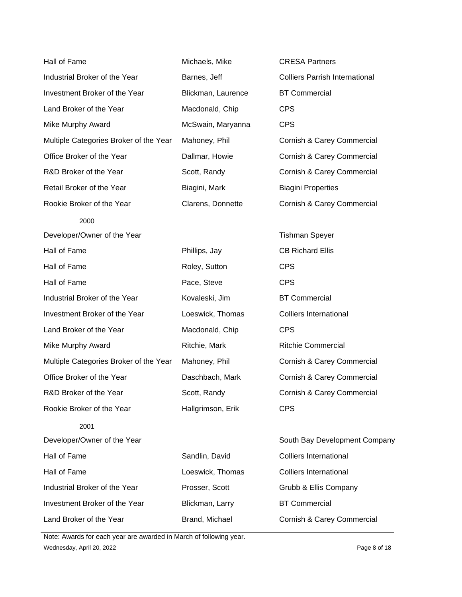| Hall of Fame                           | Michaels, Mike     | <b>CRESA Partners</b>                 |
|----------------------------------------|--------------------|---------------------------------------|
| Industrial Broker of the Year          | Barnes, Jeff       | <b>Colliers Parrish International</b> |
| Investment Broker of the Year          | Blickman, Laurence | <b>BT Commercial</b>                  |
| Land Broker of the Year                | Macdonald, Chip    | <b>CPS</b>                            |
| Mike Murphy Award                      | McSwain, Maryanna  | <b>CPS</b>                            |
| Multiple Categories Broker of the Year | Mahoney, Phil      | <b>Cornish &amp; Carey Commercial</b> |
| Office Broker of the Year              | Dallmar, Howie     | Cornish & Carey Commercial            |
| R&D Broker of the Year                 | Scott, Randy       | Cornish & Carey Commercial            |
| Retail Broker of the Year              | Biagini, Mark      | <b>Biagini Properties</b>             |
| Rookie Broker of the Year              | Clarens, Donnette  | Cornish & Carey Commercial            |
| 2000                                   |                    |                                       |
| Developer/Owner of the Year            |                    | <b>Tishman Speyer</b>                 |
| Hall of Fame                           | Phillips, Jay      | <b>CB Richard Ellis</b>               |
| Hall of Fame                           | Roley, Sutton      | <b>CPS</b>                            |
| Hall of Fame                           | Pace, Steve        | <b>CPS</b>                            |
| Industrial Broker of the Year          | Kovaleski, Jim     | <b>BT Commercial</b>                  |
| Investment Broker of the Year          | Loeswick, Thomas   | <b>Colliers International</b>         |
| Land Broker of the Year                | Macdonald, Chip    | <b>CPS</b>                            |
| Mike Murphy Award                      | Ritchie, Mark      | <b>Ritchie Commercial</b>             |
| Multiple Categories Broker of the Year | Mahoney, Phil      | Cornish & Carey Commercial            |
| Office Broker of the Year              | Daschbach, Mark    | Cornish & Carey Commercial            |
| R&D Broker of the Year                 | Scott, Randy       | Cornish & Carey Commercial            |
| Rookie Broker of the Year              | Hallgrimson, Erik  | <b>CPS</b>                            |
| 2001                                   |                    |                                       |
| Developer/Owner of the Year            |                    | South Bay Development Company         |
| Hall of Fame                           | Sandlin, David     | <b>Colliers International</b>         |
| Hall of Fame                           | Loeswick, Thomas   | <b>Colliers International</b>         |
| Industrial Broker of the Year          | Prosser, Scott     | Grubb & Ellis Company                 |
| Investment Broker of the Year          | Blickman, Larry    | <b>BT Commercial</b>                  |
| Land Broker of the Year                | Brand, Michael     | Cornish & Carey Commercial            |

Wednesday, April 20, 2022 **Page 8 of 18** Note: Awards for each year are awarded in March of following year.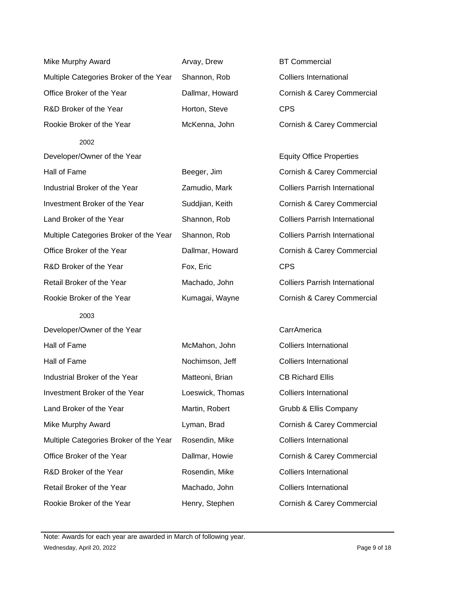| <b>Mike Murphy Award</b>               | Arvay, Drew      | <b>BT Commercial</b>                  |
|----------------------------------------|------------------|---------------------------------------|
| Multiple Categories Broker of the Year | Shannon, Rob     | <b>Colliers International</b>         |
| Office Broker of the Year              | Dallmar, Howard  | Cornish & Carey Commercial            |
| R&D Broker of the Year                 | Horton, Steve    | <b>CPS</b>                            |
| Rookie Broker of the Year              | McKenna, John    | Cornish & Carey Commercial            |
| 2002                                   |                  |                                       |
| Developer/Owner of the Year            |                  | <b>Equity Office Properties</b>       |
| Hall of Fame                           | Beeger, Jim      | Cornish & Carey Commercial            |
| Industrial Broker of the Year          | Zamudio, Mark    | <b>Colliers Parrish International</b> |
| Investment Broker of the Year          | Suddjian, Keith  | Cornish & Carey Commercial            |
| Land Broker of the Year                | Shannon, Rob     | <b>Colliers Parrish International</b> |
| Multiple Categories Broker of the Year | Shannon, Rob     | <b>Colliers Parrish International</b> |
| Office Broker of the Year              | Dallmar, Howard  | Cornish & Carey Commercial            |
| R&D Broker of the Year                 | Fox, Eric        | <b>CPS</b>                            |
| Retail Broker of the Year              | Machado, John    | <b>Colliers Parrish International</b> |
| Rookie Broker of the Year              | Kumagai, Wayne   | Cornish & Carey Commercial            |
| 2003                                   |                  |                                       |
| Developer/Owner of the Year            |                  | CarrAmerica                           |
| Hall of Fame                           | McMahon, John    | <b>Colliers International</b>         |
| Hall of Fame                           | Nochimson, Jeff  | <b>Colliers International</b>         |
| Industrial Broker of the Year          | Matteoni, Brian  | <b>CB Richard Ellis</b>               |
| Investment Broker of the Year          | Loeswick, Thomas | <b>Colliers International</b>         |
| Land Broker of the Year                | Martin, Robert   | Grubb & Ellis Company                 |
| Mike Murphy Award                      | Lyman, Brad      | Cornish & Carey Commercial            |
| Multiple Categories Broker of the Year | Rosendin, Mike   | <b>Colliers International</b>         |
| Office Broker of the Year              | Dallmar, Howie   | Cornish & Carey Commercial            |
| R&D Broker of the Year                 | Rosendin, Mike   | <b>Colliers International</b>         |
| Retail Broker of the Year              | Machado, John    | <b>Colliers International</b>         |
| Rookie Broker of the Year              | Henry, Stephen   | Cornish & Carey Commercial            |

Wednesday, April 20, 2022 **Page 9 of 18** Note: Awards for each year are awarded in March of following year.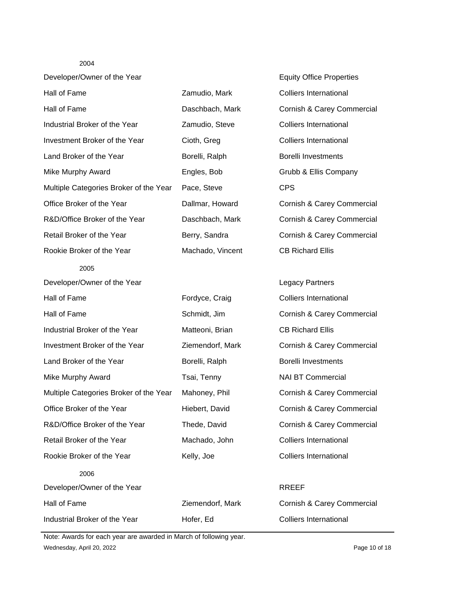| Developer/Owner of the Year            |                  | <b>Equity Office Properties</b> |
|----------------------------------------|------------------|---------------------------------|
| Hall of Fame                           | Zamudio, Mark    | <b>Colliers International</b>   |
| Hall of Fame                           | Daschbach, Mark  | Cornish & Carey Commercial      |
| Industrial Broker of the Year          | Zamudio, Steve   | <b>Colliers International</b>   |
| Investment Broker of the Year          | Cioth, Greg      | <b>Colliers International</b>   |
| Land Broker of the Year                | Borelli, Ralph   | <b>Borelli Investments</b>      |
| Mike Murphy Award                      | Engles, Bob      | Grubb & Ellis Company           |
| Multiple Categories Broker of the Year | Pace, Steve      | <b>CPS</b>                      |
| Office Broker of the Year              | Dallmar, Howard  | Cornish & Carey Commercial      |
| R&D/Office Broker of the Year          | Daschbach, Mark  | Cornish & Carey Commercial      |
| Retail Broker of the Year              | Berry, Sandra    | Cornish & Carey Commercial      |
| Rookie Broker of the Year              | Machado, Vincent | <b>CB Richard Ellis</b>         |
| 2005                                   |                  |                                 |
| Developer/Owner of the Year            |                  | <b>Legacy Partners</b>          |
| Hall of Fame                           | Fordyce, Craig   | <b>Colliers International</b>   |
| Hall of Fame                           | Schmidt, Jim     | Cornish & Carey Commercial      |
| Industrial Broker of the Year          | Matteoni, Brian  | <b>CB Richard Ellis</b>         |
| Investment Broker of the Year          | Ziemendorf, Mark | Cornish & Carey Commercial      |
| Land Broker of the Year                | Borelli, Ralph   | <b>Borelli Investments</b>      |
| <b>Mike Murphy Award</b>               | Tsai, Tenny      | <b>NAI BT Commercial</b>        |
| Multiple Categories Broker of the Year | Mahoney, Phil    | Cornish & Carey Commercial      |
| Office Broker of the Year              | Hiebert, David   | Cornish & Carey Commercial      |
| R&D/Office Broker of the Year          | Thede, David     | Cornish & Carey Commercial      |
| Retail Broker of the Year              | Machado, John    | <b>Colliers International</b>   |
| Rookie Broker of the Year              | Kelly, Joe       | <b>Colliers International</b>   |
| 2006                                   |                  |                                 |
| Developer/Owner of the Year            |                  | <b>RREEF</b>                    |
| Hall of Fame                           | Ziemendorf, Mark | Cornish & Carey Commercial      |
| Industrial Broker of the Year          | Hofer, Ed        | <b>Colliers International</b>   |

Wednesday, April 20, 2022 2008 Page 10 of 18 Note: Awards for each year are awarded in March of following year.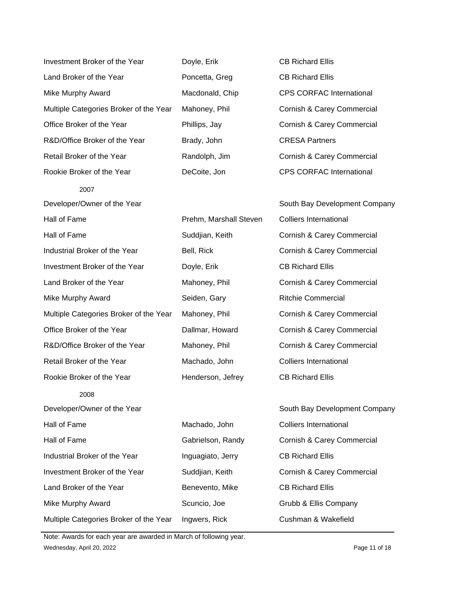| Investment Broker of the Year          | Doyle, Erik            | <b>CB Richard Ellis</b>         |
|----------------------------------------|------------------------|---------------------------------|
| Land Broker of the Year                | Poncetta, Greg         | <b>CB Richard Ellis</b>         |
| <b>Mike Murphy Award</b>               | Macdonald, Chip        | <b>CPS CORFAC International</b> |
| Multiple Categories Broker of the Year | Mahoney, Phil          | Cornish & Carey Commercial      |
| Office Broker of the Year              | Phillips, Jay          | Cornish & Carey Commercial      |
| R&D/Office Broker of the Year          | Brady, John            | <b>CRESA Partners</b>           |
| Retail Broker of the Year              | Randolph, Jim          | Cornish & Carey Commercial      |
| Rookie Broker of the Year              | DeCoite, Jon           | <b>CPS CORFAC International</b> |
| 2007                                   |                        |                                 |
| Developer/Owner of the Year            |                        | South Bay Development Company   |
| Hall of Fame                           | Prehm, Marshall Steven | <b>Colliers International</b>   |
| Hall of Fame                           | Suddjian, Keith        | Cornish & Carey Commercial      |
| Industrial Broker of the Year          | Bell, Rick             | Cornish & Carey Commercial      |
| Investment Broker of the Year          | Doyle, Erik            | <b>CB Richard Ellis</b>         |
| Land Broker of the Year                | Mahoney, Phil          | Cornish & Carey Commercial      |
| <b>Mike Murphy Award</b>               | Seiden, Gary           | <b>Ritchie Commercial</b>       |
| Multiple Categories Broker of the Year | Mahoney, Phil          | Cornish & Carey Commercial      |
| Office Broker of the Year              | Dallmar, Howard        | Cornish & Carey Commercial      |
| R&D/Office Broker of the Year          | Mahoney, Phil          | Cornish & Carey Commercial      |
| Retail Broker of the Year              | Machado, John          | <b>Colliers International</b>   |
| Rookie Broker of the Year              | Henderson, Jefrey      | <b>CB Richard Ellis</b>         |
| 2008                                   |                        |                                 |
| Developer/Owner of the Year            |                        | South Bay Development Company   |
| Hall of Fame                           | Machado, John          | <b>Colliers International</b>   |
| Hall of Fame                           | Gabrielson, Randy      | Cornish & Carey Commercial      |
| Industrial Broker of the Year          | Inguagiato, Jerry      | <b>CB Richard Ellis</b>         |
| Investment Broker of the Year          | Suddjian, Keith        | Cornish & Carey Commercial      |
| Land Broker of the Year                | Benevento, Mike        | <b>CB Richard Ellis</b>         |
| <b>Mike Murphy Award</b>               | Scuncio, Joe           | Grubb & Ellis Company           |
| Multiple Categories Broker of the Year | Ingwers, Rick          | Cushman & Wakefield             |

Wednesday, April 20, 2022 **Page 11 of 18** Note: Awards for each year are awarded in March of following year.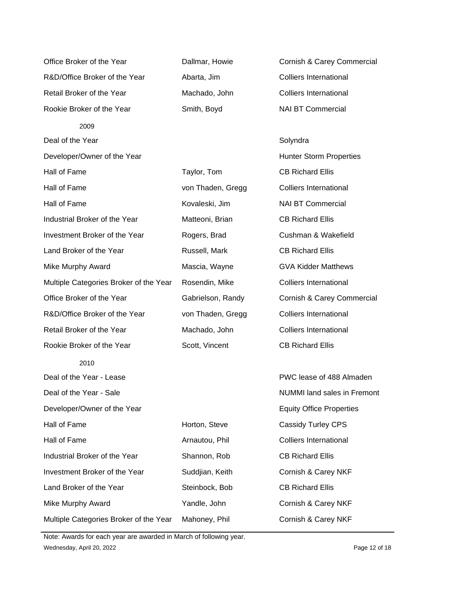Office Broker of the Year Dallmar, Howie Cornish & Carey Commercial R&D/Office Broker of the Year Abarta, Jim Colliers International Retail Broker of the Year Machado, John Colliers International Rookie Broker of the Year Smith, Boyd NAI BT Commercial 2009 Deal of the Year Solyndra Solyndra Solyndra Solyndra Solyndra Solyndra Solyndra Solyndra Solyndra Solyndra Solyndra Solyndra Solyndra Solyndra Solyndra Solyndra Solyndra Solyndra Solyndra Solyndra Solyndra Solyndra Solyndr Developer/Owner of the Year **Hunter Storm Properties Hunter Storm Properties** Hall of Fame Taylor, Tom CB Richard Ellis Hall of Fame von Thaden, Gregg Colliers International Hall of Fame **Kovaleski, Jim** NAI BT Commercial Industrial Broker of the Year Matteoni, Brian CB Richard Ellis Investment Broker of the Year Rogers, Brad Cushman & Wakefield Land Broker of the Year **Russell**, Mark CB Richard Ellis Mike Murphy Award **Mascia, Wayne** GVA Kidder Matthews Multiple Categories Broker of the Year Rosendin, Mike Colliers International Office Broker of the Year **Gabrielson, Randy Cornish & Carey Commercial** R&D/Office Broker of the Year von Thaden, Gregg Colliers International Retail Broker of the Year Machado, John Colliers International Rookie Broker of the Year Scott, Vincent CB Richard Ellis 2010 Deal of the Year - Lease **PWC lease** PWC lease of 488 Almaden Deal of the Year - Sale NUMMI land sales in Fremont Developer/Owner of the Year **Equity Office Properties** Hall of Fame **Horton, Steve** Cassidy Turley CPS Hall of Fame **Arnautou, Phil Colliers International** Industrial Broker of the Year Shannon, Rob CB Richard Ellis Investment Broker of the Year Suddjian, Keith Cornish & Carey NKF Land Broker of the Year **Steinbock, Bob** CB Richard Ellis Mike Murphy Award Yandle, John Cornish & Carey NKF Multiple Categories Broker of the Year Mahoney, Phil Cornish & Carey NKF

Wednesday, April 20, 2022 **Page 12 of 18** Page 12 of 18 Note: Awards for each year are awarded in March of following year.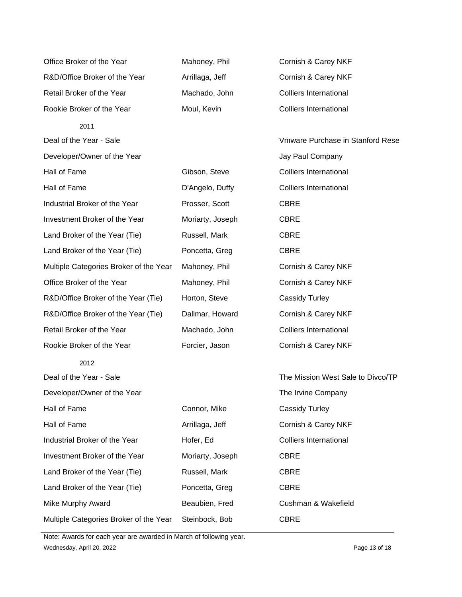| Office Broker of the Year              | Mahoney, Phil    | Cornish & Carey NKF               |
|----------------------------------------|------------------|-----------------------------------|
| R&D/Office Broker of the Year          | Arrillaga, Jeff  | Cornish & Carey NKF               |
| Retail Broker of the Year              | Machado, John    | <b>Colliers International</b>     |
| Rookie Broker of the Year              | Moul, Kevin      | <b>Colliers International</b>     |
| 2011                                   |                  |                                   |
| Deal of the Year - Sale                |                  | Vmware Purchase in Stanford Rese  |
| Developer/Owner of the Year            |                  | Jay Paul Company                  |
| Hall of Fame                           | Gibson, Steve    | <b>Colliers International</b>     |
| Hall of Fame                           | D'Angelo, Duffy  | <b>Colliers International</b>     |
| Industrial Broker of the Year          | Prosser, Scott   | <b>CBRE</b>                       |
| Investment Broker of the Year          | Moriarty, Joseph | <b>CBRE</b>                       |
| Land Broker of the Year (Tie)          | Russell, Mark    | <b>CBRE</b>                       |
| Land Broker of the Year (Tie)          | Poncetta, Greg   | <b>CBRE</b>                       |
| Multiple Categories Broker of the Year | Mahoney, Phil    | Cornish & Carey NKF               |
| Office Broker of the Year              | Mahoney, Phil    | Cornish & Carey NKF               |
| R&D/Office Broker of the Year (Tie)    | Horton, Steve    | <b>Cassidy Turley</b>             |
| R&D/Office Broker of the Year (Tie)    | Dallmar, Howard  | Cornish & Carey NKF               |
| Retail Broker of the Year              | Machado, John    | <b>Colliers International</b>     |
| Rookie Broker of the Year              | Forcier, Jason   | Cornish & Carey NKF               |
| 2012                                   |                  |                                   |
| Deal of the Year - Sale                |                  | The Mission West Sale to Divco/TP |
| Developer/Owner of the Year            |                  | The Irvine Company                |
| Hall of Fame                           | Connor, Mike     | <b>Cassidy Turley</b>             |
| Hall of Fame                           | Arrillaga, Jeff  | Cornish & Carey NKF               |
| Industrial Broker of the Year          | Hofer, Ed        | <b>Colliers International</b>     |
| Investment Broker of the Year          | Moriarty, Joseph | <b>CBRE</b>                       |
| Land Broker of the Year (Tie)          | Russell, Mark    | <b>CBRE</b>                       |
| Land Broker of the Year (Tie)          | Poncetta, Greg   | <b>CBRE</b>                       |
| Mike Murphy Award                      | Beaubien, Fred   | Cushman & Wakefield               |
| Multiple Categories Broker of the Year | Steinbock, Bob   | <b>CBRE</b>                       |

Wednesday, April 20, 2022 **Page 13 of 18** Note: Awards for each year are awarded in March of following year.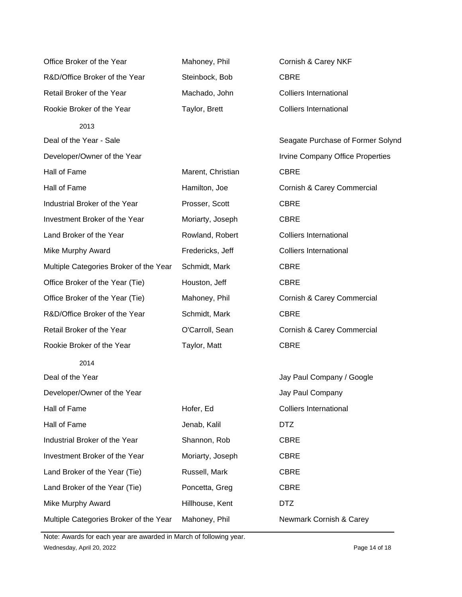| Office Broker of the Year              | Mahoney, Phil     | Cornish & Carey NKF                     |
|----------------------------------------|-------------------|-----------------------------------------|
| R&D/Office Broker of the Year          | Steinbock, Bob    | <b>CBRE</b>                             |
| Retail Broker of the Year              | Machado, John     | <b>Colliers International</b>           |
| Rookie Broker of the Year              | Taylor, Brett     | <b>Colliers International</b>           |
| 2013                                   |                   |                                         |
| Deal of the Year - Sale                |                   | Seagate Purchase of Former Solynd       |
| Developer/Owner of the Year            |                   | <b>Irvine Company Office Properties</b> |
| Hall of Fame                           | Marent, Christian | <b>CBRE</b>                             |
| Hall of Fame                           | Hamilton, Joe     | Cornish & Carey Commercial              |
| Industrial Broker of the Year          | Prosser, Scott    | <b>CBRE</b>                             |
| Investment Broker of the Year          | Moriarty, Joseph  | <b>CBRE</b>                             |
| Land Broker of the Year                | Rowland, Robert   | <b>Colliers International</b>           |
| <b>Mike Murphy Award</b>               | Fredericks, Jeff  | <b>Colliers International</b>           |
| Multiple Categories Broker of the Year | Schmidt, Mark     | <b>CBRE</b>                             |
| Office Broker of the Year (Tie)        | Houston, Jeff     | <b>CBRE</b>                             |
| Office Broker of the Year (Tie)        | Mahoney, Phil     | Cornish & Carey Commercial              |
| R&D/Office Broker of the Year          | Schmidt, Mark     | <b>CBRE</b>                             |
| Retail Broker of the Year              | O'Carroll, Sean   | Cornish & Carey Commercial              |
| Rookie Broker of the Year              | Taylor, Matt      | <b>CBRE</b>                             |
| 2014                                   |                   |                                         |
| Deal of the Year                       |                   | Jay Paul Company / Google               |
| Developer/Owner of the Year            |                   | Jay Paul Company                        |
| Hall of Fame                           | Hofer, Ed         | <b>Colliers International</b>           |
| Hall of Fame                           | Jenab, Kalil      | <b>DTZ</b>                              |
| Industrial Broker of the Year          | Shannon, Rob      | <b>CBRE</b>                             |
| Investment Broker of the Year          | Moriarty, Joseph  | <b>CBRE</b>                             |
| Land Broker of the Year (Tie)          | Russell, Mark     | <b>CBRE</b>                             |
| Land Broker of the Year (Tie)          | Poncetta, Greg    | <b>CBRE</b>                             |
| <b>Mike Murphy Award</b>               | Hillhouse, Kent   | <b>DTZ</b>                              |
| Multiple Categories Broker of the Year | Mahoney, Phil     | Newmark Cornish & Carey                 |

Wednesday, April 20, 2022 2008 Page 14 of 18 Note: Awards for each year are awarded in March of following year.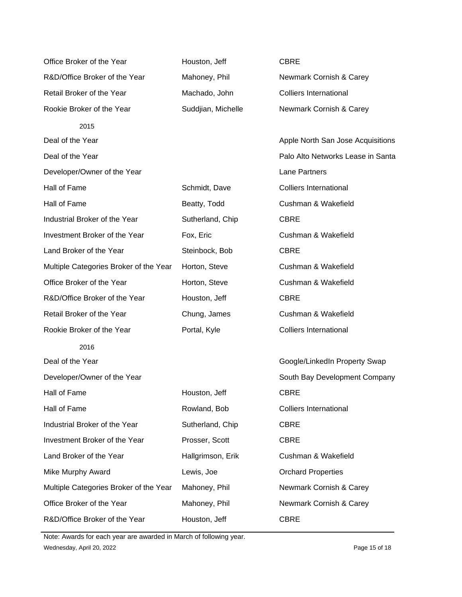| Office Broker of the Year              | Houston, Jeff      | <b>CBRE</b>                       |
|----------------------------------------|--------------------|-----------------------------------|
| R&D/Office Broker of the Year          | Mahoney, Phil      | Newmark Cornish & Carey           |
| Retail Broker of the Year              | Machado, John      | <b>Colliers International</b>     |
| Rookie Broker of the Year              | Suddjian, Michelle | Newmark Cornish & Carey           |
| 2015                                   |                    |                                   |
| Deal of the Year                       |                    | Apple North San Jose Acquisitions |
| Deal of the Year                       |                    | Palo Alto Networks Lease in Santa |
| Developer/Owner of the Year            |                    | <b>Lane Partners</b>              |
| Hall of Fame                           | Schmidt, Dave      | <b>Colliers International</b>     |
| Hall of Fame                           | Beatty, Todd       | Cushman & Wakefield               |
| Industrial Broker of the Year          | Sutherland, Chip   | <b>CBRE</b>                       |
| Investment Broker of the Year          | Fox, Eric          | Cushman & Wakefield               |
| Land Broker of the Year                | Steinbock, Bob     | <b>CBRE</b>                       |
| Multiple Categories Broker of the Year | Horton, Steve      | Cushman & Wakefield               |
| Office Broker of the Year              | Horton, Steve      | Cushman & Wakefield               |
| R&D/Office Broker of the Year          | Houston, Jeff      | <b>CBRE</b>                       |
|                                        |                    |                                   |
| Retail Broker of the Year              | Chung, James       | Cushman & Wakefield               |
| Rookie Broker of the Year              | Portal, Kyle       | <b>Colliers International</b>     |
| 2016                                   |                    |                                   |
| Deal of the Year                       |                    | Google/LinkedIn Property Swap     |
| Developer/Owner of the Year            |                    | South Bay Development Company     |
| Hall of Fame                           | Houston, Jeff      | <b>CBRE</b>                       |
| Hall of Fame                           | Rowland, Bob       | <b>Colliers International</b>     |
| Industrial Broker of the Year          | Sutherland, Chip   | <b>CBRE</b>                       |
| Investment Broker of the Year          | Prosser, Scott     | <b>CBRE</b>                       |
| Land Broker of the Year                | Hallgrimson, Erik  | Cushman & Wakefield               |
| <b>Mike Murphy Award</b>               | Lewis, Joe         | <b>Orchard Properties</b>         |
| Multiple Categories Broker of the Year | Mahoney, Phil      | Newmark Cornish & Carey           |
| Office Broker of the Year              | Mahoney, Phil      | Newmark Cornish & Carey           |

Wednesday, April 20, 2022 **Page 15 of 18** Note: Awards for each year are awarded in March of following year.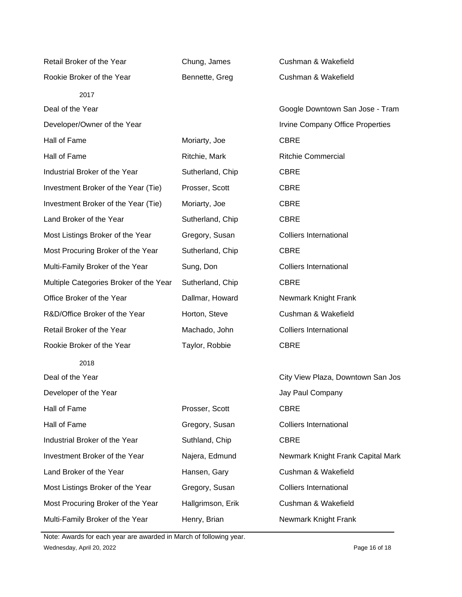| Retail Broker of the Year              | Chung, James      | Cushman & Wakefield               |
|----------------------------------------|-------------------|-----------------------------------|
| Rookie Broker of the Year              | Bennette, Greg    | Cushman & Wakefield               |
| 2017                                   |                   |                                   |
| Deal of the Year                       |                   | Google Downtown San Jose - Tram   |
| Developer/Owner of the Year            |                   | Irvine Company Office Properties  |
| Hall of Fame                           | Moriarty, Joe     | <b>CBRE</b>                       |
| Hall of Fame                           | Ritchie, Mark     | <b>Ritchie Commercial</b>         |
| Industrial Broker of the Year          | Sutherland, Chip  | <b>CBRE</b>                       |
| Investment Broker of the Year (Tie)    | Prosser, Scott    | <b>CBRE</b>                       |
| Investment Broker of the Year (Tie)    | Moriarty, Joe     | <b>CBRE</b>                       |
| Land Broker of the Year                | Sutherland, Chip  | <b>CBRE</b>                       |
| Most Listings Broker of the Year       | Gregory, Susan    | <b>Colliers International</b>     |
| Most Procuring Broker of the Year      | Sutherland, Chip  | <b>CBRE</b>                       |
| Multi-Family Broker of the Year        | Sung, Don         | <b>Colliers International</b>     |
| Multiple Categories Broker of the Year | Sutherland, Chip  | <b>CBRE</b>                       |
| Office Broker of the Year              | Dallmar, Howard   | Newmark Knight Frank              |
| R&D/Office Broker of the Year          | Horton, Steve     | Cushman & Wakefield               |
| Retail Broker of the Year              | Machado, John     | <b>Colliers International</b>     |
| Rookie Broker of the Year              | Taylor, Robbie    | <b>CBRE</b>                       |
| 2018                                   |                   |                                   |
| Deal of the Year                       |                   | City View Plaza, Downtown San Jos |
| Developer of the Year                  |                   | Jay Paul Company                  |
| Hall of Fame                           | Prosser, Scott    | <b>CBRE</b>                       |
| Hall of Fame                           | Gregory, Susan    | <b>Colliers International</b>     |
| Industrial Broker of the Year          | Suthland, Chip    | <b>CBRE</b>                       |
| Investment Broker of the Year          | Najera, Edmund    | Newmark Knight Frank Capital Mark |
| Land Broker of the Year                | Hansen, Gary      | Cushman & Wakefield               |
| Most Listings Broker of the Year       | Gregory, Susan    | <b>Colliers International</b>     |
| Most Procuring Broker of the Year      | Hallgrimson, Erik | Cushman & Wakefield               |
| Multi-Family Broker of the Year        | Henry, Brian      | Newmark Knight Frank              |

Wednesday, April 20, 2022 **Page 16 of 18** Note: Awards for each year are awarded in March of following year.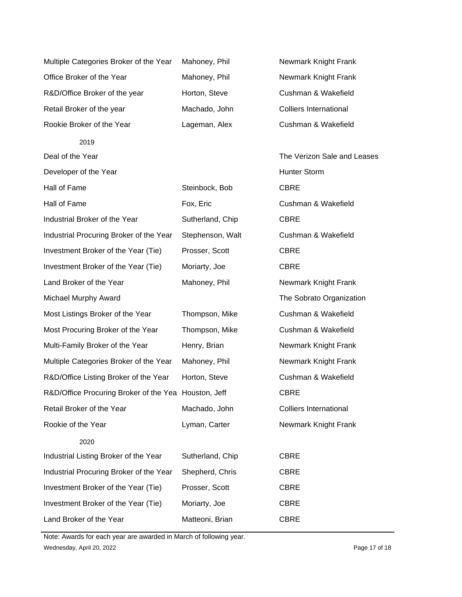| Multiple Categories Broker of the Year               | Mahoney, Phil    | Newmark Knight Frank          |  |
|------------------------------------------------------|------------------|-------------------------------|--|
| Office Broker of the Year                            | Mahoney, Phil    | Newmark Knight Frank          |  |
| R&D/Office Broker of the year                        | Horton, Steve    | Cushman & Wakefield           |  |
| Retail Broker of the year                            | Machado, John    | <b>Colliers International</b> |  |
| Rookie Broker of the Year                            | Lageman, Alex    | Cushman & Wakefield           |  |
| 2019                                                 |                  |                               |  |
| Deal of the Year                                     |                  | The Verizon Sale and Leases   |  |
| Developer of the Year                                |                  | <b>Hunter Storm</b>           |  |
| Hall of Fame                                         | Steinbock, Bob   | <b>CBRE</b>                   |  |
| Hall of Fame                                         | Fox, Eric        | Cushman & Wakefield           |  |
| Industrial Broker of the Year                        | Sutherland, Chip | <b>CBRE</b>                   |  |
| Industrial Procuring Broker of the Year              | Stephenson, Walt | Cushman & Wakefield           |  |
| Investment Broker of the Year (Tie)                  | Prosser, Scott   | <b>CBRE</b>                   |  |
| Investment Broker of the Year (Tie)                  | Moriarty, Joe    | <b>CBRE</b>                   |  |
| Land Broker of the Year                              | Mahoney, Phil    | Newmark Knight Frank          |  |
| Michael Murphy Award                                 |                  | The Sobrato Organization      |  |
| Most Listings Broker of the Year                     | Thompson, Mike   | Cushman & Wakefield           |  |
| Most Procuring Broker of the Year                    | Thompson, Mike   | Cushman & Wakefield           |  |
| Multi-Family Broker of the Year                      | Henry, Brian     | Newmark Knight Frank          |  |
| Multiple Categories Broker of the Year               | Mahoney, Phil    | Newmark Knight Frank          |  |
| R&D/Office Listing Broker of the Year                | Horton, Steve    | Cushman & Wakefield           |  |
| R&D/Office Procuring Broker of the Yea Houston, Jeff |                  | <b>CBRE</b>                   |  |
| Retail Broker of the Year                            | Machado, John    | <b>Colliers International</b> |  |
| Rookie of the Year                                   | Lyman, Carter    | Newmark Knight Frank          |  |
| 2020                                                 |                  |                               |  |
| Industrial Listing Broker of the Year                | Sutherland, Chip | <b>CBRE</b>                   |  |
| Industrial Procuring Broker of the Year              | Shepherd, Chris  | <b>CBRE</b>                   |  |
| Investment Broker of the Year (Tie)                  | Prosser, Scott   | <b>CBRE</b>                   |  |
| Investment Broker of the Year (Tie)                  | Moriarty, Joe    | <b>CBRE</b>                   |  |
| Land Broker of the Year                              | Matteoni, Brian  | <b>CBRE</b>                   |  |

Wednesday, April 20, 2022 **Page 17 of 18** Note: Awards for each year are awarded in March of following year.